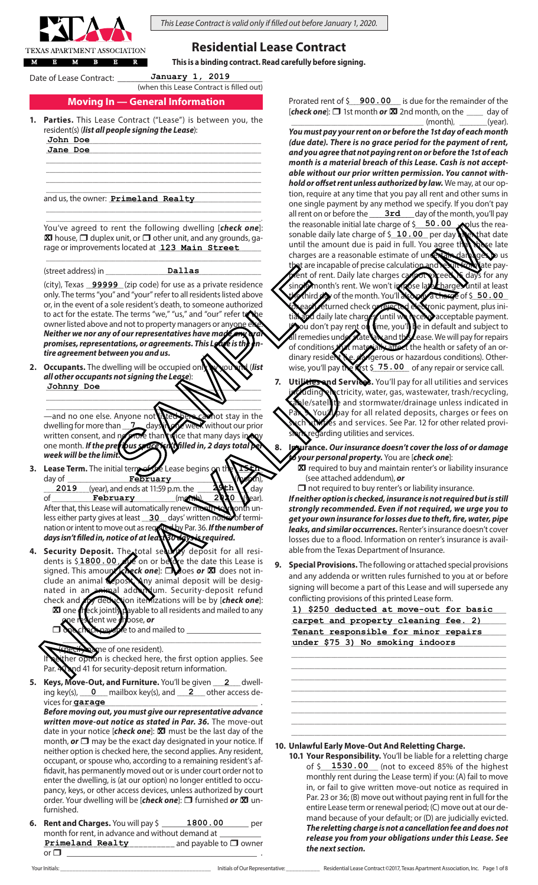

*This Lease Contract is valid only if filled out before January 1, 2020.*

# **Residential Lease Contract**

**This is a binding contract. Read carefully before signing.**

Date of Lease Contract:

(when this Lease Contract is filled out) **January 1, 2019**

# **Moving In — General Information**

- **1. Parties.** This Lease Contract ("Lease") is between you, the resident(s) (*list all people signing the Lease*):
	- \_\_\_\_\_\_\_\_\_\_\_\_\_\_\_\_\_\_\_\_\_\_\_\_\_\_\_\_\_\_\_\_\_\_\_\_\_\_\_\_\_\_\_\_\_\_\_\_\_\_\_\_\_\_\_\_\_\_\_\_\_\_\_\_\_ **John Doe** \_\_\_\_\_\_\_\_\_\_\_\_\_\_\_\_\_\_\_\_\_\_\_\_\_\_\_\_\_\_\_\_\_\_\_\_\_\_\_\_\_\_\_\_\_\_\_\_\_\_\_\_\_\_\_\_\_\_\_\_\_\_\_\_\_ **Jane Doe**

and us, the owner: \_\_\_\_\_\_\_\_\_\_\_\_\_\_\_\_\_\_\_\_\_\_\_\_\_\_\_\_\_\_\_\_\_\_\_\_\_\_\_\_\_\_\_\_\_\_ **Primeland Realty**

You've agreed to rent the following dwelling [*check one*]: **X** house,  $\Box$  duplex unit, or  $\Box$  other unit, and any grounds, garage or improvements located at 123 Main Street

 $\_$  , and the set of the set of the set of the set of the set of the set of the set of the set of the set of the set of the set of the set of the set of the set of the set of the set of the set of the set of the set of th

**Dallas**

\_\_\_\_\_\_\_\_\_\_\_\_\_\_\_\_\_\_\_\_\_\_\_\_\_\_\_\_\_\_\_\_\_\_\_\_\_\_\_\_\_\_\_\_\_\_\_\_\_\_\_\_\_\_\_\_\_\_\_\_\_\_\_\_\_ \_\_\_\_\_\_\_\_\_\_\_\_\_\_\_\_\_\_\_\_\_\_\_\_\_\_\_\_\_\_\_\_\_\_\_\_\_\_\_\_\_\_\_\_\_\_\_\_\_\_\_\_\_\_\_\_\_\_\_\_\_\_\_\_\_.

\_\_\_\_\_\_\_\_\_\_\_\_\_\_\_\_\_\_\_\_\_\_\_\_\_\_\_\_\_\_\_\_\_\_\_\_\_\_\_\_\_\_\_\_\_\_\_\_\_\_\_\_\_\_\_\_\_\_\_\_\_\_\_\_\_ \_\_\_\_\_\_\_\_\_\_\_\_\_\_\_\_\_\_\_\_\_\_\_\_\_\_\_\_\_\_\_\_\_\_\_\_\_\_\_\_\_\_\_\_\_\_\_\_\_\_\_\_\_\_\_\_\_\_\_\_\_\_\_\_\_ \_\_\_\_\_\_\_\_\_\_\_\_\_\_\_\_\_\_\_\_\_\_\_\_\_\_\_\_\_\_\_\_\_\_\_\_\_\_\_\_\_\_\_\_\_\_\_\_\_\_\_\_\_\_\_\_\_\_\_\_\_\_\_\_\_  $\_$  , and the set of the set of the set of the set of the set of the set of the set of the set of the set of the set of the set of the set of the set of the set of the set of the set of the set of the set of the set of th

(street address) in

(city), Texas **99999** (zip code) for use as a private residence

only. The terms "you" and "your" refer to all residents listed above or, in the event of a sole resident's death, to someone authorized to act for the estate. The terms "we," "us," and "our" refer  $\bigotimes$ owner listed above and not to property managers or any *Neither we nor any of our representatives have made any oral*  promises, representations, or agreements. This Lease is the *tire agreement between you and us.* Delta in the team of the team of the team of the team of the team of the team of the team of the team of the team of the team of the team of the team of the team of the team of the team of the team of the team of the team

**2. Occupants.** The dwelling will be occupied only by you and (*list all other occupants not signing the Lease*): Johnny Doe **ANIX** 

—and no one else. Anyone not **Nices here can**not stay in the<br>dwelling for more than \_\_**\_\_\_**\_\_ day**s in the cannot** without our prior dwelling for more than **the days in one week** without our prior<br>written consent, and point than twice that many days in any written consent, and **po more than twice that many days in any one month.** If the previous pace with the *in*, 2 days total one month. If the previous space *week will be the limit.* **7**

 $\frac{1}{1}$  $\blacksquare$   $\blacksquare$ 

**3.** Lease Term. The initial term of the Lease begins day of \_\_\_\_\_\_\_\_\_\_\_\_\_\_\_\_\_\_\_\_\_\_\_\_\_\_\_\_\_\_\_\_\_\_\_\_\_\_\_\_\_\_\_\_\_\_\_\_\_\_\_\_ (month), **February**  $\frac{2019}{\text{of}}$  (year), and ends at 11:59 p.m. the  $\frac{2019}{\text{of}}$  day of **February** *February (month), 2020* **(year). 15th 29th 2019**

After that, this Lease will automatically renew month-to-month unless either party gives at least \_\_**30**\_\_ days' written notice of termination or intent to move out as required by Par. 36. *If the number of days isn't filled in, notice of at least 30 days is required.*

**4. Security Deposit.** The total security deposit for all residents is  $$1800.00$  due on or before the date this Lease is signed. This amourlened and **Notify Conducts** or **X** does not insigned. This amount  $\chi$  beck one]:  $\Box$  does or  $\boxtimes$  does not include an animal deposit. Any animal deposit will be designated in an animal adden um. Security-deposit refund check and any deduction itemizations will be by [*check one*]:<br>**XI** one **c**ireck jointly payable to all residents and mailed to any ayable to all residents and mailed to any dent we **c**hoose, **or** dents is \$1800.00 **X**

 $\Box$  one check payable to and mailed to  $\overline{\phantom{a}}$ 

name of one resident).

her option is checked here, the first option applies. See Par. 40 and 41 for security-deposit return information.

5. Keys, Move-Out, and Furniture. You'll be given 2\_ dwelling key(s), **0** mailbox key(s), and **2** other access devices for **garage \_\_\_\_\_\_\_\_\_\_\_\_\_\_\_\_\_\_\_\_\_\_\_\_\_\_\_\_\_\_\_\_\_\_\_** . **2**

*Before moving out, you must give our representative advance written move-out notice as stated in Par. 36.* The move-out date in your notice [*check one*]: **X** must be the last day of the month, **or**  $\Box$  may be the exact day designated in your notice. If neither option is checked here, the second applies. Any resident, occupant, or spouse who, according to a remaining resident's affidavit, has permanently moved out or is under court order not to enter the dwelling, is (at our option) no longer entitled to occupancy, keys, or other access devices, unless authorized by court order. Your dwelling will be [check one]:  $\Box$  furnished or  $\boxtimes$  unfurnished.

**6. Rent and Charges.** You will pay \$ \_\_\_\_\_\_**1800.00** \_\_\_\_\_\_ per month for rent, in advance and without demand at \_\_\_\_\_\_\_\_\_\_  $\frac{1}{2}$  and payable to  $\Box$  owner or r \_\_\_\_\_\_\_\_\_\_\_\_\_\_\_\_\_\_\_\_\_\_\_\_\_\_\_\_\_\_\_\_\_\_\_\_\_\_\_\_\_\_\_\_\_\_ . **1800.00 Primeland Realty**

Prorated rent of  $\frac{2}{5}$  **900.00** is due for the remainder of the [*check* one]:  $\Box$  1st month or  $\Box$  2nd month, on the  $\Box$  day of  $(month)$ ,  $(vear)$ .

- *You must pay your rent on or before the 1st day of each month (due date). There is no grace period for the payment of rent, and you agree that not paying rent on or before the 1st of each month is a material breach of this Lease. Cash is not acceptable without our prior written permission. You cannot withhold or offset rent unless authorized by law.* We may, at our option, require at any time that you pay all rent and other sums in one single payment by any method we specify. If you don't pay all rent on or before the \_\_\_\_\_\_\_\_\_\_\_\_\_\_\_\_\_\_\_day of the month, you'll pay the reasonable initial late charge of \$**\_\_\_50.00 Ap**lus the reasonable daily late charge of \$**\_10.00** per day **MeN** that date until the amount due is paid in full. You agree the these late charges are a reasonable estimate of uncertain damages to us at are incapable of precise calculation and result from late payient of rent. Daily late charges can meet ceed is days for any<br>in formonth's rent. We won't is nose late charge until at least single month's rent. We won't impose I third day of the month. You'll also feturned check or rejected electronic payment, plus ini**tial daily late charges, until we receive** acceptable payment. ou don't pay rent on time, you'll be in default and subject to<br>remedies understate and the ease. We will pay for repairs all remedies und exacte and this Lease. We will pay for repairs of conditions that materially affect the health or safety of an orof conditions (but many rially attack the health or safety of an ordinary resident (herdingerous or hazardous conditions). Otherwise, you'll pay the **first \$ 75.00** of any repair or service call.  $\overline{50.00}$  a charge of \$  $50.00$ Your appear on the biginary in the biginary distribution of the theoretical contents in the external term in the state of the state of the state of the state of the state of the state of the state of the state of the stat
	- **7.** Utilities and Services. You'll pay for all utilities and services uding electricity, water, gas, wastewater, trash/recycling,  $\epsilon$ le/satellite and stormwater/drainage unless indicated in You'll pay for all related deposits, charges or fees on ies and services. See Par. 12 for other related proviarding utilities and services.
	- **8. Insurance.** *Our insurance doesn't cover the loss of or damage to your personal property.* You are [*check one*]:
		- **X** required to buy and maintain renter's or liability insurance (see attached addendum), *or*
		- $\Box$  not required to buy renter's or liability insurance.

*If neither option is checked, insurance is not required but is still strongly recommended. Even if not required, we urge you to get your own insurance for losses due to theft, fire, water, pipe leaks, and similar occurrences.* Renter's insurance doesn't cover losses due to a flood. Information on renter's insurance is available from the Texas Department of Insurance.

**9. Special Provisions.** The following or attached special provisions and any addenda or written rules furnished to you at or before signing will become a part of this Lease and will supersede any conflicting provisions of this printed Lease form.

1) \$250 deducted at move-out for basic carpet and property cleaning fee. 2) \_\_\_\_\_\_\_\_\_\_\_\_\_\_\_\_\_\_\_\_\_\_\_\_\_\_\_\_\_\_\_\_\_\_\_\_\_\_\_\_\_\_\_\_\_\_\_\_\_\_\_\_\_\_\_\_\_\_\_\_\_\_\_\_\_ **Tenant responsible for minor repairs** \_\_\_\_\_\_\_\_\_\_\_\_\_\_\_\_\_\_\_\_\_\_\_\_\_\_\_\_\_\_\_\_\_\_\_\_\_\_\_\_\_\_\_\_\_\_\_\_\_\_\_\_\_\_\_\_\_\_\_\_\_\_\_\_\_ **under \$75 3) No smoking indoors**

\_\_\_\_\_\_\_\_\_\_\_\_\_\_\_\_\_\_\_\_\_\_\_\_\_\_\_\_\_\_\_\_\_\_\_\_\_\_\_\_\_\_\_\_\_\_\_\_\_\_\_\_\_\_\_\_\_\_\_\_\_\_\_\_\_ \_\_\_\_\_\_\_\_\_\_\_\_\_\_\_\_\_\_\_\_\_\_\_\_\_\_\_\_\_\_\_\_\_\_\_\_\_\_\_\_\_\_\_\_\_\_\_\_\_\_\_\_\_\_\_\_\_\_\_\_\_\_\_\_\_ \_\_\_\_\_\_\_\_\_\_\_\_\_\_\_\_\_\_\_\_\_\_\_\_\_\_\_\_\_\_\_\_\_\_\_\_\_\_\_\_\_\_\_\_\_\_\_\_\_\_\_\_\_\_\_\_\_\_\_\_\_\_\_\_\_  $\_$  , and the set of the set of the set of the set of the set of the set of the set of the set of the set of the set of the set of the set of the set of the set of the set of the set of the set of the set of the set of th  $\_$  , and the set of the set of the set of the set of the set of the set of the set of the set of the set of the set of the set of the set of the set of the set of the set of the set of the set of the set of the set of th \_\_\_\_\_\_\_\_\_\_\_\_\_\_\_\_\_\_\_\_\_\_\_\_\_\_\_\_\_\_\_\_\_\_\_\_\_\_\_\_\_\_\_\_\_\_\_\_\_\_\_\_\_\_\_\_\_\_\_\_\_\_\_\_\_ \_\_\_\_\_\_\_\_\_\_\_\_\_\_\_\_\_\_\_\_\_\_\_\_\_\_\_\_\_\_\_\_\_\_\_\_\_\_\_\_\_\_\_\_\_\_\_\_\_\_\_\_\_\_\_\_\_\_\_\_\_\_\_\_\_ \_\_\_\_\_\_\_\_\_\_\_\_\_\_\_\_\_\_\_\_\_\_\_\_\_\_\_\_\_\_\_\_\_\_\_\_\_\_\_\_\_\_\_\_\_\_\_\_\_\_\_\_\_\_\_\_\_\_\_\_\_\_\_\_\_

#### **10. Unlawful Early Move-Out And Reletting Charge.**

**10.1 Your Responsibility.** You'll be liable for a reletting charge of \$\_\_\_\_\_\_\_\_\_\_\_\_\_\_\_\_\_\_ (not to exceed 85% of the highest **1530.00** monthly rent during the Lease term) if you: (A) fail to move in, or fail to give written move-out notice as required in Par. 23 or 36; (B) move out without paying rent in full for the entire Lease term or renewal period; (C) move out at our demand because of your default; or (D) are judicially evicted. *The reletting charge is not a cancellation fee and does not release you from your obligations under this Lease. See the next section.*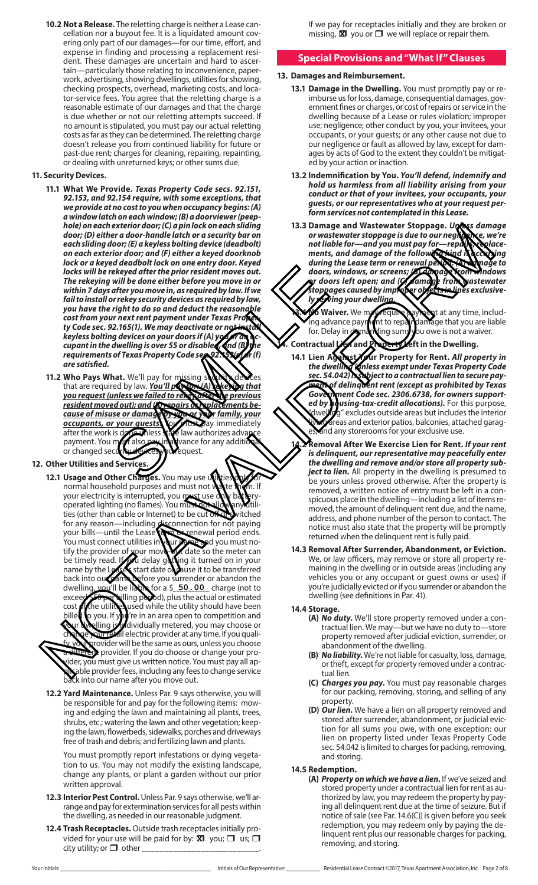**10.2 Not a Release.** The reletting charge is neither a Lease cancellation nor a buyout fee. It is a liquidated amount covering only part of our damages—for our time, effort, and expense in finding and processing a replacement resident. These damages are uncertain and hard to ascertain—particularly those relating to inconvenience, paperwork, advertising, showing dwellings, utilities for showing, checking prospects, overhead, marketing costs, and locator-service fees. You agree that the reletting charge is a reasonable estimate of our damages and that the charge is due whether or not our reletting attempts succeed. If no amount is stipulated, you must pay our actual reletting costs as far as they can be determined. The reletting charge doesn't release you from continued liability for future or past-due rent; charges for cleaning, repairing, repainting, or dealing with unreturned keys; or other sums due.

#### **11. Security Devices.**

- **11.1 What We Provide.** *Texas Property Code secs. 92.151, 92.153, and 92.154 require, with some exceptions, that we provide at no cost to you when occupancy begins: (A) a window latch on each window; (B) a doorviewer (peephole) on each exterior door; (C) a pin lock on each sliding door; (D) either a door-handle latch or a security bar on each sliding door; (E) a keyless bolting device (deadbolt) on each exterior door; and (F) either a keyed doorknob lock or a keyed deadbolt lock on one entry door. Keyed locks will be rekeyed after the prior resident moves out. The rekeying will be done either before you move in or within 7 days after you move in, as required by law. If we fail to install or rekey security devices as required by law, you have the right to do so and deduct the reasonable cost from your next rent payment under Texas Proper*ty Code sec. 92.165(1). We may deactivate or ne *keyless bolting devices on your doors if (A) ye cupant in the dwelling is over 55 or disabled, and (B) the*  requirements of Texas Property Code sec. 92.1536 for (f) *are satisfied.* Exercise of the discussion of the discussion of the discussion of the charges. You may use the law authorizes are proportional state of the discussion of the discussion of the discussion of the discussion of the discussion
- 11.2 Who Pays What. We'll pay for missing s that are required by law. **You'll pay for: (A) rekeying that** *you request (unless we failed to rekey after the previous resident moved out); and (B) repairs or replacements because of misuse or damage by you or your family, your occupants, or your quests.* We must pay immediately after the work is *down* less the law authorizes advance after the work is done whess payment. You must also pay in advance for any additional or changed security devices you request.

# **12. Other Utilities and Services.**

- **12.1 Usage and Other Charges.** You may use on normal household purposes and must not waste them. If your electricity is interrupted, you must use only battery operated lighting (no flames). You must not allow any utilities (other than cable or Internet) to be cut of switched for any reason—including disconnection for not paying your bills—until the Lease term or renewal period ends. You must connect utilities in your name and you must notify the provider of your move-out date so the meter can be timely read. **If you** delay getting it turned on in your name by the Lease's start date or cause it to be transferred back into our name before you surrender or abandon the dwelling you'll be liable for a \$ 50.00 charge (not to exceed \$50 per billing period), plus the actual or estimated<br>cost of the utilities used while the utility should have been costof the utilities used while the utility should have been billed to you. If you're in an area open to competition and elling is individually metered, you may choose or our retail electric provider at any time. If you qualigrovider will be the same as ours, unless you choose rent provider. If you do choose or change your proider, you must give us written notice. You must pay all apable provider fees, including any fees to change service bable provider reception.<br>Ack into our name after you move out. hole) mediate density does not determine the set of the photosopy is a busine with the set of the set of the set of the set of the set of the set of the set of the set of the set of the set of the set of the set of the se
	- **12.2 Yard Maintenance.** Unless Par. 9 says otherwise, you will be responsible for and pay for the following items: mowing and edging the lawn and maintaining all plants, trees, shrubs, etc.; watering the lawn and other vegetation; keeping the lawn, flowerbeds, sidewalks, porches and driveways free of trash and debris; and fertilizing lawn and plants.

You must promptly report infestations or dying vegetation to us. You may not modify the existing landscape, change any plants, or plant a garden without our prior written approval.

- **12.3 Interior Pest Control.** Unless Par. 9 says otherwise, we'll arrange and pay for extermination services for all pests within the dwelling, as needed in our reasonable judgment.
- **12.4 Trash Receptacles.** Outside trash receptacles initially provided for your use will be paid for by:  $\boxtimes$  you;  $\Box$  us;  $\Box$ city utility; or  $\Box$  other \_

If we pay for receptacles initially and they are broken or missing,  $\overline{\mathbf{x}}$  you or  $\Box$  we will replace or repair them.

## **Special Provisions and "What If" Clauses**

#### **13. Damages and Reimbursement.**

- **13.1 Damage in the Dwelling.** You must promptly pay or reimburse us for loss, damage, consequential damages, government fines or charges, or cost of repairs or service in the dwelling because of a Lease or rules violation; improper use; negligence; other conduct by you, your invitees, your occupants, or your guests; or any other cause not due to our negligence or fault as allowed by law, except for damages by acts of God to the extent they couldn't be mitigated by your action or inaction.
- **13.2 Indemnification by You.** *You'll defend, indemnify and hold us harmless from all liability arising from your conduct or that of your invitees, your occupants, your guests, or our representatives who at your request perform services not contemplated in this Lease.*
- **13.3 Damage and Wastewater Stoppage.** *Unless damage or wastewater stoppage is due to our negligence, we're*  not liable for—and you must pay for—rep**dix, replace**ments, and damage of the following kind i**f occurring** *during the Lease term or renewal period: (A) damage to doors, windows, or screens; (B) damage from windows or doors left open; and (C) damage from wastewater stoppages caused by improper objects in lines exclusively serving your dwelling.*

**13.4 No Waiver.** We may require payment at any time, including advance payment to repair damage that you are liable for. Delay in damanding sums you owe is not a waiver.<br>Contractual *in* and Protect yeft in the Dwelling.

- **14. Contractual Lien and Property Left in the Dwelling.**
- **14.1 Lien Against Your Property for Rent.** *All property in the dwelling (unless exempt under Texas Property Code sec. 54.042) is subject to a contractual lien to secure payment of delinquent rent (except as prohibited by Texas Government Code sec. 2306.6738, for owners supported by housing-tax-credit allocations).* For this purpose, g" excludes outside areas but includes the interior areas and exterior patios, balconies, attached garagand any storerooms for your exclusive use.
	- **14.2 Removal After We Exercise Lien for Rent.** *If your rent is delinquent, our representative may peacefully enter the dwelling and remove and/or store all property subject to lien.* All property in the dwelling is presumed to be yours unless proved otherwise. After the property is removed, a written notice of entry must be left in a conspicuous place in the dwelling—including a list of items removed, the amount of delinquent rent due, and the name, address, and phone number of the person to contact. The notice must also state that the property will be promptly returned when the delinquent rent is fully paid.
- **14.3 Removal After Surrender, Abandonment, or Eviction.** We, or law officers, may remove or store all property remaining in the dwelling or in outside areas (including any vehicles you or any occupant or guest owns or uses) if you're judicially evicted or if you surrender or abandon the dwelling (see definitions in Par. 41).

#### **14.4 Storage.**

- **(A)** *No duty***.** We'll store property removed under a contractual lien. We may—but we have no duty to—store property removed after judicial eviction, surrender, or abandonment of the dwelling.
- **(B)** *No liability***.** We're not liable for casualty, loss, damage, or theft, except for property removed under a contractual lien.
- **(C)** *Charges you pay***.** You must pay reasonable charges for our packing, removing, storing, and selling of any property.
- **(D)** *Our lien***.** We have a lien on all property removed and stored after surrender, abandonment, or judicial eviction for all sums you owe, with one exception: our lien on property listed under Texas Property Code sec. 54.042 is limited to charges for packing, removing, and storing.

#### **14.5 Redemption.**

**(A)** *Property on which we have a lien***.** If we've seized and stored property under a contractual lien for rent as authorized by law, you may redeem the property by paying all delinquent rent due at the time of seizure. But if notice of sale (see Par. 14.6(C)) is given before you seek redemption, you may redeem only by paying the delinquent rent plus our reasonable charges for packing, removing, and storing. **<sup>X</sup>**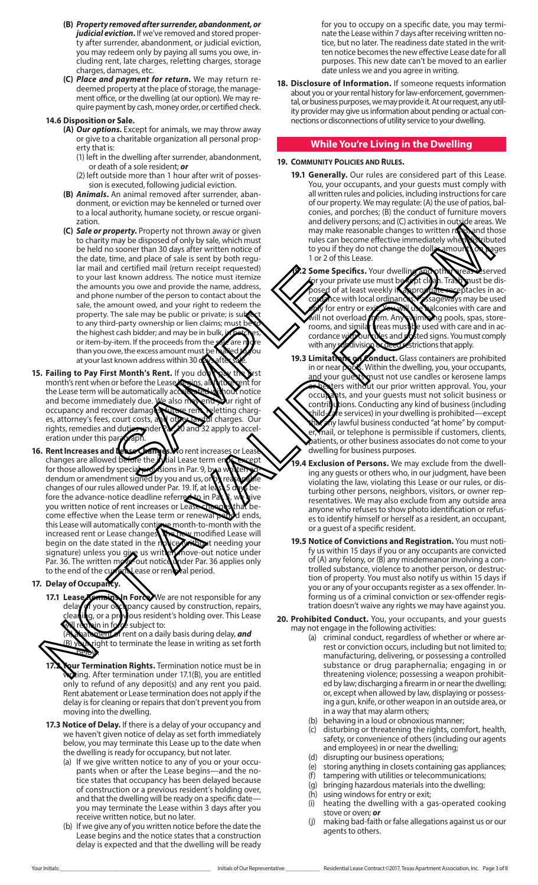- **(B)** *Property removed after surrender, abandonment, or judicial eviction***.** If we've removed and stored property after surrender, abandonment, or judicial eviction, you may redeem only by paying all sums you owe, including rent, late charges, reletting charges, storage charges, damages, etc.
- **(C)** *Place and payment for return***.** We may return redeemed property at the place of storage, the management office, or the dwelling (at our option). We may require payment by cash, money order, or certified check.

#### **14.6 Disposition or Sale.**

- **(A)** *Our options***.** Except for animals, we may throw away or give to a charitable organization all personal property that is:
	- (1) left in the dwelling after surrender, abandonment, or death of a sole resident; *or*
	- (2) left outside more than 1 hour after writ of possession is executed, following judicial eviction.
- **(B)** *Animals***.** An animal removed after surrender, abandonment, or eviction may be kenneled or turned over to a local authority, humane society, or rescue organization.
- **(C)** *Sale or property***.** Property not thrown away or given to charity may be disposed of only by sale, which must be held no sooner than 30 days after written notice of the date, time, and place of sale is sent by both regular mail and certified mail (return receipt requested) to your last known address. The notice must itemize the amounts you owe and provide the name, address, and phone number of the person to contact about the sale, the amount owed, and your right to redeem the property. The sale may be public or private; is subject to any third-party ownership or lien claims; my the highest cash bidder; and may be in bulk or item-by-item. If the proceeds from the than you owe, the excess amount must be maked to you at your last known address within 30 nt and derived and provident and the main of the main of the main of the main of the main and provide the name, addes and bound the mount owed, and your right to redeem the mount owed, and your right to redeem the The sale
- **15. Failing to Pay First Month's Rent.** If you don't pay the first month's rent when or before the Lease begins, all future rent for the Lease term will be automatically accelerated without notice<br>and become immediately due. We also mevent your right of and become immediately due. We also m occupancy and recover damages, future rent, reletting charges, attorney's fees, court costs, and other lawful charges. Our rights, remedies and duties under Par. 10 and 32 apply to acceleration under this paragraph.
- **16. Rent Increases and Lease Changes. N**o rent increases or Lease changes are allowed before the *initial Lease term* ends except for those allowed by special provisions in Par. 9, by a written addendum or amendment signed by you and us, or by reasonable changes of our rules allowed under Par. 19. If, at least 5 days before the advance-notice deadline referred to in Par  $\mathbf{g}$ , we give you written notice of rent increases or Lease changes that become effective when the Lease term or renewal period ends, this Lease will automatically continue month-to-month with the increased rent or Lease changes. The modified Lease will begin on the date stated in the new modified the needing your signature) unless you give us written move-out notice under begin on the date stated in the  $n$ signature) unless you give us written move-out notice under Par. 36. The written move-out notice under Par. 36 applies only Par. 36. The written move-out notice under Par. 36 applies only to the end of the current Lease or renewal period. CCI as the property Report of the bighest can be a contribute of the state of the state of the state of the state of the state of the state of the state of the state of the state of the state of the state of the state of
- **17. Delay of Occupancy.**
	- **17.1 Lease Bemain Sun Force.** We are not responsible for any delay of your occupancy caused by construction, repairs,<br>cleaning, or a provious resident's holding over. This Lease :lea**hin**g, or a previous resident's holding over. This Lease<br>W remain in force subject to: subject to:

lent of rent on a daily basis during delay, *and* ight to terminate the lease in writing as set forth below.

- **Qur Termination Rights.** Termination notice must be in wing. After termination under 17.1(B), you are entitled only to refund of any deposit(s) and any rent you paid. Rent abatement or Lease termination does not apply if the delay is for cleaning or repairs that don't prevent you from moving into the dwelling.
- **17.3 Notice of Delay.** If there is a delay of your occupancy and we haven't given notice of delay as set forth immediately below, you may terminate this Lease up to the date when the dwelling is ready for occupancy, but not later.
	- (a) If we give written notice to any of you or your occupants when or after the Lease begins—and the notice states that occupancy has been delayed because of construction or a previous resident's holding over, and that the dwelling will be ready on a specific dateyou may terminate the Lease within 3 days after you receive written notice, but no later.
	- (b) If we give any of you written notice before the date the Lease begins and the notice states that a construction delay is expected and that the dwelling will be ready

for you to occupy on a specific date, you may terminate the Lease within 7 days after receiving written notice, but no later. The readiness date stated in the written notice becomes the new effective Lease date for all purposes. This new date can't be moved to an earlier date unless we and you agree in writing.

**18. Disclosure of Information.** If someone requests information about you or your rental history for law-enforcement, governmental, or business purposes, we may provide it. At our request, any utility provider may give us information about pending or actual connections or disconnections of utility service to your dwelling.

# **While You're Living in the Dwelling**

## **19. Community Policies and Rules.**

- **19.1 Generally.** Our rules are considered part of this Lease. You, your occupants, and your guests must comply with all written rules and policies, including instructions for care of our property. We may regulate: (A) the use of patios, balconies, and porches; (B) the conduct of furniture movers and delivery persons; and (C) activities in outside areas. We and delivery personable changes to written rules, and those<br>may make reasonable changes to written rules, and those rules can become effective immediately when distributed to you if they do not change the dollar amount on bages to you if they do not change the dollar amount on pages 1 or 2 of this Lease.
- **1.2 Some Specifics.** Your dwelling and other reasonserved for your private use must be kept clean. Tra**sh must be dis-**<br>posed of at least weekly i**n approp<u>irate rece</u>ptacles in ac**posed of at least weekly in appro<mark>priate rece</mark>ptacles in ac-<br>cord mce with local ordinances: Passageways may be used cord mce with local ordinan of for entry or exit. You will use balconies with care and will not overload them. Any wimming pools, spas, store-<br>rooms, and similar preas must be used with care and in accordance with our comply reas must be used with care and in accordance with our rules and posted signs. You must comply with any subdivision or deed restrictions that apply.
- 19.3 Limitations of Conduct. Glass containers are prohibited in or near  $\log s$ . Within the dwelling, you, your occupants, and your guests must not use candles or kerosene lamps or heaters without our prior written approval. You, your occupants, and your guests must not solicit business or contributions. Conducting any kind of business (including utions. Conducting any kind of business (including hild-care services) in your dwelling is prohibited—except  $\mathsf{\tilde{i}}$ y lawful business conducted "at home" by computmail, or telephone is permissible if customers, clients, patients, or other business associates do not come to your dwelling for business purposes.
- **19.4 Exclusion of Persons.** We may exclude from the dwelling any guests or others who, in our judgment, have been violating the law, violating this Lease or our rules, or disturbing other persons, neighbors, visitors, or owner representatives. We may also exclude from any outside area anyone who refuses to show photo identification or refuses to identify himself or herself as a resident, an occupant, or a guest of a specific resident.
- **19.5 Notice of Convictions and Registration.** You must notify us within 15 days if you or any occupants are convicted of (A) any felony, or (B) any misdemeanor involving a controlled substance, violence to another person, or destruction of property. You must also notify us within 15 days if you or any of your occupants register as a sex offender. Informing us of a criminal conviction or sex-offender registration doesn't waive any rights we may have against you.
- **20. Prohibited Conduct.** You, your occupants, and your guests may not engage in the following activities:
	- (a) criminal conduct, regardless of whether or where arrest or conviction occurs, including but not limited to; manufacturing, delivering, or possessing a controlled substance or drug paraphernalia; engaging in or threatening violence; possessing a weapon prohibited by law; discharging a firearm in or near the dwelling; or, except when allowed by law, displaying or possessing a gun, knife, or other weapon in an outside area, or in a way that may alarm others;
	- (b) behaving in a loud or obnoxious manner;
	- (c) disturbing or threatening the rights, comfort, health, safety, or convenience of others (including our agents and employees) in or near the dwelling;
	- (d) disrupting our business operations;
	- (e) storing anything in closets containing gas appliances;
	- (f) tampering with utilities or telecommunications;
	- (g) bringing hazardous materials into the dwelling;
	- (h) using windows for entry or exit;
	- (i) heating the dwelling with a gas-operated cooking stove or oven; *or*
	- making bad-faith or false allegations against us or our agents to others.

Your Initials: \_\_\_\_\_\_\_\_\_\_\_\_\_\_\_\_\_\_\_\_\_\_\_\_\_\_\_\_\_\_\_\_\_\_\_\_\_\_\_\_\_\_\_\_\_\_\_\_\_ Initials of Our Representative: \_\_\_\_\_\_\_\_\_\_\_ Residential Lease Contract ©2017, Texas Apartment Association, Inc. Page 3 of 8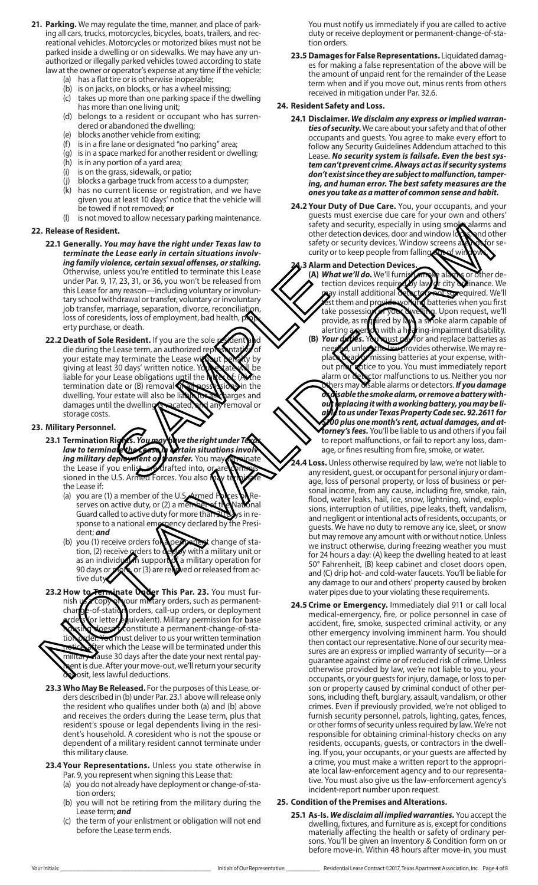- **21. Parking.** We may regulate the time, manner, and place of parking all cars, trucks, motorcycles, bicycles, boats, trailers, and recreational vehicles. Motorcycles or motorized bikes must not be parked inside a dwelling or on sidewalks. We may have any unauthorized or illegally parked vehicles towed according to state law at the owner or operator's expense at any time if the vehicle:
	- (a) has a flat tire or is otherwise inoperable;
	- (b) is on jacks, on blocks, or has a wheel missing;
	- (c) takes up more than one parking space if the dwelling has more than one living unit;
	- (d) belongs to a resident or occupant who has surrendered or abandoned the dwelling;
	- (e) blocks another vehicle from exiting;
	- (f) is in a fire lane or designated "no parking" area;
	- (g) is in a space marked for another resident or dwelling;
	- (h) is in any portion of a yard area;
	- (i) is on the grass, sidewalk, or patio;
	- (j) blocks a garbage truck from access to a dumpster;
	- (k) has no current license or registration, and we have given you at least 10 days' notice that the vehicle will be towed if not removed; *or*
	- (l) is not moved to allow necessary parking maintenance.

#### **22. Release of Resident.**

- **22.1 Generally.** *You may have the right under Texas law to terminate the Lease early in certain situations involving family violence, certain sexual offenses, or stalking.* Otherwise, unless you're entitled to terminate this Lease under Par. 9, 17, 23, 31, or 36, you won't be released from this Lease for any reason—including voluntary or involuntary school withdrawal or transfer, voluntary or involuntary job transfer, marriage, separation, divorce, reconciliation, loss of coresidents, loss of employment, bad health, property purchase, or death.
- **22.2 Death of Sole Resident.** If you are the sole redent and die during the Lease term, an authorized representative of your estate may terminate the Lease without penalty by giving at least 30 days' written notice. You estate will be liable for your Lease obligations until the latter of: (A) the termination date or (B) removal of all possessions in the dwelling. Your estate will also be liable to all property dwelling. Your estate will also be lia damages until the dwelling is vacated, and any removal or storage costs. These system entitled to terminate this Lease<br>
These system entitled to terminate this Lease<br>
The relaxed from<br>
The relaxed or transfer, voluntary or involuntary<br>
the relaxed or many reason—including voluntary or involunta

#### **23. Military Personnel.**

- **23.1 Termination Rights.** *You may have the right under Texas*  law to terminate the Lease in **A**rtain situations involving military deployment of transfer. You may terminate the Lease if you enlist, are drafted into, or sioned in the U.S. Armed Forces. You also the Lease if:
	- (a) you are (1) a member of the U.  $\sum$  and  $\sum$  Res  $\sum$  Reserves on active duty, or (2) a member of the National Guard called to active duty for more than 30 days in response to a national emergency declared by the President; *and*
	- (b) you (1) receive orders for a permanent change of station, (2) receive **a** ders to deploy with a military unit or tion, (2) receive arders to deploy with a military unit or as an individual in support of a military operation for as an individually support of a military operation for<br>90 days or more or (3) are relieved or released from active duty
- **23.2 How to Terminate Under This Par. 23.** You must furnish use copy of your military orders, such as permanentchange-of-station orders, call-up orders, or deployment or letter equivalent). Military permission for base hese constitute a permanent-change-of-station order. You must deliver to us your written termination ter which the Lease will be terminated under this military clause 30 days after the date your next rental payent is due. After your move-out, we'll return your security esosit, less lawful deductions.
- **23.3 Who May Be Released.** For the purposes of this Lease, orders described in (b) under Par. 23.1 above will release only the resident who qualifies under both (a) and (b) above and receives the orders during the Lease term, plus that resident's spouse or legal dependents living in the resident's household. A coresident who is not the spouse or dependent of a military resident cannot terminate under this military clause.
- **23.4 Your Representations.** Unless you state otherwise in Par. 9, you represent when signing this Lease that:
	- (a) you do not already have deployment or change-of-station orders;
	- (b) you will not be retiring from the military during the Lease term; *and*
	- (c) the term of your enlistment or obligation will not end before the Lease term ends.

You must notify us immediately if you are called to active duty or receive deployment or permanent-change-of-station orders.

**23.5 Damages for False Representations.** Liquidated damages for making a false representation of the above will be the amount of unpaid rent for the remainder of the Lease term when and if you move out, minus rents from others received in mitigation under Par. 32.6.

### **24. Resident Safety and Loss.**

- **24.1 Disclaimer.** *We disclaim any express or implied warranties of security.* We care about your safety and that of other occupants and guests. You agree to make every effort to follow any Security Guidelines Addendum attached to this Lease. *No security system is failsafe. Even the best system can't prevent crime. Always act as if security systems don't exist since they are subject to malfunction, tampering, and human error. The best safety measures are the ones you take as a matter of common sense and habit.*
- **24.2 Your Duty of Due Care.** You, your occupants, and your guests must exercise due care for your own and others' safety and security, especially in using smoke alarms and other detection devices, door and window locks, and other safety or security devices. Window screens and not or security or to keep people from falling

#### **24.3 Alarm and Detection Devices.**

- **(A)** *What we'll do***. We'll furnish smoke alarms or other de-<br>
<b>b** tection devices required by law or city **whinance**. We ction devices required by law or city a linance. We as install additional details and so required. We'll mat so required. We'll est them and provide working batteries when you first take possession of your dwelling. Upon request, we'll provide, as required by law, a smoke alarm capable of alerting **a percon** with a hearing-impairment disability. **(B)** *Your duties***.** You must pay for and replace batteries as needed, unless the law provides otherwise. We may replace dead or missing batteries at your expense, without price fo you. You must immediately report alarm or detector malfunctions to us. Neither you nor others may disable alarms or detectors. *If you damage or disable the smoke alarm, or remove a battery without replacing it with a working battery, you may be liable to us under Texas Property Code sec. 92.2611 for \$100 plus one month's rent, actual damages, and attorney's fees.* You'll be liable to us and others if you fail to report malfunctions, or fail to report any loss, damage, or fines resulting from fire, smoke, or water. Related the late of contribution of the contribution of the contribution of the contribution of the contribution of the contribution of the contribution of the contribution of the contribution of the contribution of the c
	- Loss. Unless otherwise required by law, we're not liable to any resident, guest, or occupant for personal injury or damage, loss of personal property, or loss of business or personal income, from any cause, including fire, smoke, rain, flood, water leaks, hail, ice, snow, lightning, wind, explosions, interruption of utilities, pipe leaks, theft, vandalism, and negligent or intentional acts of residents, occupants, or guests. We have no duty to remove any ice, sleet, or snow but may remove any amount with or without notice. Unless we instruct otherwise, during freezing weather you must for 24 hours a day: (A) keep the dwelling heated to at least 50° Fahrenheit, (B) keep cabinet and closet doors open, and (C) drip hot- and cold-water faucets. You'll be liable for any damage to our and others' property caused by broken water pipes due to your violating these requirements.
	- **24.5 Crime or Emergency.** Immediately dial 911 or call local medical-emergency, fire, or police personnel in case of accident, fire, smoke, suspected criminal activity, or any other emergency involving imminent harm. You should then contact our representative. None of our security measures are an express or implied warranty of security—or a guarantee against crime or of reduced risk of crime. Unless otherwise provided by law, we're not liable to you, your occupants, or your guests for injury, damage, or loss to person or property caused by criminal conduct of other persons, including theft, burglary, assault, vandalism, or other crimes. Even if previously provided, we're not obliged to furnish security personnel, patrols, lighting, gates, fences, or other forms of security unless required by law. We're not responsible for obtaining criminal-history checks on any residents, occupants, guests, or contractors in the dwelling. If you, your occupants, or your guests are affected by a crime, you must make a written report to the appropriate local law-enforcement agency and to our representative. You must also give us the law-enforcement agency's incident-report number upon request.

## **25. Condition of the Premises and Alterations.**

**25.1 As-Is.** *We disclaim all implied warranties.* You accept the dwelling, fixtures, and furniture as is, except for conditions materially affecting the health or safety of ordinary persons. You'll be given an Inventory & Condition form on or before move-in. Within 48 hours after move-in, you must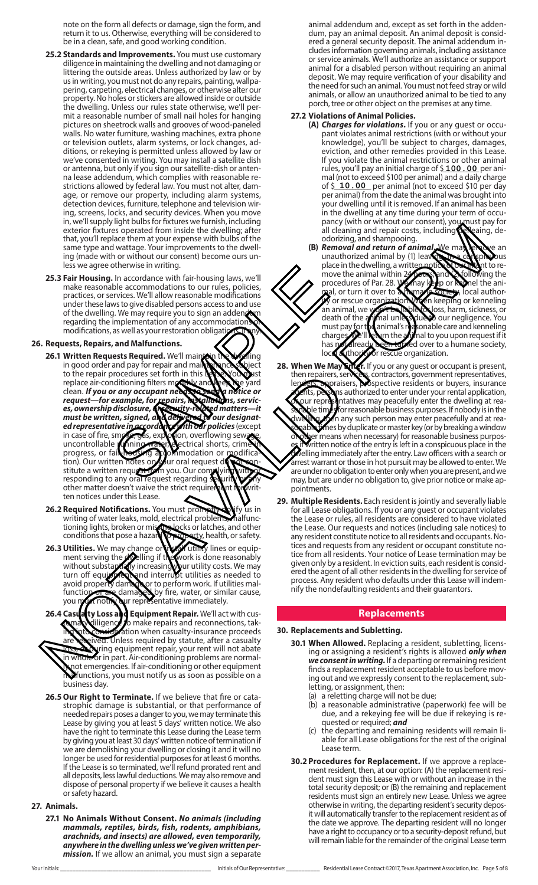note on the form all defects or damage, sign the form, and return it to us. Otherwise, everything will be considered to be in a clean, safe, and good working condition.

- **25.2 Standards and Improvements.** You must use customary diligence in maintaining the dwelling and not damaging or littering the outside areas. Unless authorized by law or by us in writing, you must not do any repairs, painting, wallpapering, carpeting, electrical changes, or otherwise alter our property. No holes or stickers are allowed inside or outside the dwelling. Unless our rules state otherwise, we'll permit a reasonable number of small nail holes for hanging pictures on sheetrock walls and grooves of wood-paneled walls. No water furniture, washing machines, extra phone or television outlets, alarm systems, or lock changes, additions, or rekeying is permitted unless allowed by law or we've consented in writing. You may install a satellite dish or antenna, but only if you sign our satellite-dish or antenna lease addendum, which complies with reasonable restrictions allowed by federal law. You must not alter, damage, or remove our property, including alarm systems, detection devices, furniture, telephone and television wiring, screens, locks, and security devices. When you move in, we'll supply light bulbs for fixtures we furnish, including exterior fixtures operated from inside the dwelling; after that, you'll replace them at your expense with bulbs of the same type and wattage. Your improvements to the dwelling (made with or without our consent) become ours unless we agree otherwise in writing.
- **25.3 Fair Housing.** In accordance with fair-housing laws, we'll make reasonable accommodations to our rules, policies, practices, or services. We'll allow reasonable modifications under these laws to give disabled persons access to and use of the dwelling. We may require you to sign an adden by regarding the implementation of any accommodations of modifications, as well as your restoration obligations, it also well as

### **26. Requests, Repairs, and Malfunctions.**

- **26.1 Written Requests Required.** We'll main the dwelling in good order and pay for repair and maintenance subject to the repair procedures set forth in this Lease. You was replace air-conditioning filters monthly and keep the yard<br>clean. If you or any occupant need the pay of notice or clean. If you or any occupant need to see the notice or<br>request—for example, for repairs, rexaliations, servic*request—for example, for repairs, installations, services, ownership disclosure, or security-related matters—it must be written, signed, and delivered to our designated representative in accordance with our policies* (except in case of fire, smoke, gas, explosion, overflowing sewage, ed representative in accordance with our policies (except<br>in case of fire, smoke, eas, explosion, overflowing sewede, progress, or fair-housing accommodation or modification). Our written notes on your oral request do not sonstitute a written request from you. Our complying with or responding to any oral request regarding security of any other matter doesn't waive the strict requirement for written notices under this Lease. otherwise in white<br>
accommodations to our rules, policies,<br>
the accommodations to our rules, policies,<br>
the mighementation of any accommodations<br>
ws to give disabled persons access to and use<br>
implementation of any accommo examenta the method in the two-differences in the two-differences of the method in the two-differences in the two-differences of the method in the two-differences in the two-differences of the method in the two-difference
	- **26.2 Required Notifications.** You must prompt will yify us in writing of water leaks, mold, electrical problems, malfunctioning lights, broken or missing locks or latches, and other conditions that pose a hazard to property, health, or safety.
	- **26.3 Utilities.** We may change or in tail utility lines or equipment serving the dwelling if the work is done reasonably without substantially increasing your utility costs. We may turn off equipment and interrupt utilities as needed to turn off equipments and interrupt utilities as needed to avoid property damage or to perform work. If utilities mal-<br>function or to an adamage of the water, or similar cause. function or are damaged by fire, water, or similar cause, you must notify our representative immediately.
- **26.4 Case alty Loss and Equipment Repair.** We'll act with cus-<br>**Coma Niligence to make repairs and reconnections**, tako make repairs and reconnections, takation when casualty-insurance proceeds ved. Unless required by statute, after a casualty during equipment repair, your rent will not abate n whole or in part. Air-conditioning problems are normally not emergencies. If air-conditioning or other equipment **Malfunctions, you must notify us as soon as possible on a** business day.
- **26.5 Our Right to Terminate.** If we believe that fire or cata strophic damage is substantial, or that performance of needed repairs poses a danger to you, we may terminate this Lease by giving you at least 5 days' written notice. We also have the right to terminate this Lease during the Lease term by giving you at least 30 days' written notice of termination if we are demolishing your dwelling or closing it and it will no longer be used for residential purposes for at least 6 months. If the Lease is so terminated, we'll refund prorated rent and all deposits, less lawful deductions. We may also remove and dispose of personal property if we believe it causes a health or safety hazard.

#### **27. Animals.**

**27.1 No Animals Without Consent.** *No animals (including mammals, reptiles, birds, fish, rodents, amphibians, arachnids, and insects) are allowed, even temporarily, anywhere in the dwelling unless we've given written per mission.* If we allow an animal, you must sign a separate animal addendum and, except as set forth in the addendum, pay an animal deposit. An animal deposit is considered a general security deposit. The animal addendum includes information governing animals, including assistance or service animals. We'll authorize an assistance or support animal for a disabled person without requiring an animal deposit. We may require verification of your disability and the need for such an animal. You must not feed stray or wild animals, or allow an unauthorized animal to be tied to any porch, tree or other object on the premises at any time.

#### **27.2 Violations of Animal Policies.**

- **(A)** *Charges for violations***.** If you or any guest or occupant violates animal restrictions (with or without your knowledge), you'll be subject to charges, damages, eviction, and other remedies provided in this Lease. If you violate the animal restrictions or other animal rules, you'll pay an initial charge of \$**100 . 00** per animal (not to exceed \$100 per animal) and a daily charge of \$ **10.00** per animal (not to exceed \$10 per day per animal) from the date the animal was brought into your dwelling until it is removed. If an animal has been in the dwelling at any time during your term of occupancy (with or without our consent), you must pay for all cleaning and repair costs, including defleaing, deodorizing, and shampooing.
- **(B)** *Removal and return of animal* We may remove an unauthorized animal by (1) leaving the component unauthorized animal by (1) leaving  $\alpha$  completed by the place in the dwelling, a written notice  $\alpha$  on the move the animal within  $\alpha$  and  $\alpha$  conspicuous the place in the dwelling, a written move the animal within 24 hours, and (2) following the procedures of Par. 28. We may see or Romel the aniprocedures of Par. 28. We may keep or kennel the animal, or turn it over to a humane society, local authormal, or turn it over to **Annuman Society**, local author-<br>W or rescue organization. When keeping or kenneling<br>an animal, we won't be hable to loss, harm, sickness, or an animal, we **won't be liable to loss**, harm, sickness, or death of the **iminal unless due to** our negligence. You mal unless due to our negligence. You must pay for the animal's reasonable care and kenneling charges. We'll return the animal to you upon request if it<br>has proval ready been to get over to a humane society, has por already been turned over to a humane society, local authority or rescue organization.
- **28. When We May Sing :** If you or any guest or occupant is present, then repairers, services, contractors, government representatives, then repairers, servicers, contractors, government representatives, lenders, appraisers, prospective residents or buyers, insurance ants, persons authorized to enter under your rental application,<br>our representatives may peacefully enter the dwelling at reantatives may peacefully enter the dwelling at reale times for reasonable business purposes. If nobody is in the In any such person may enter peacefully and at reanes by duplicate or master key (or by breaking a window ber means when necessary) for reasonable business purposvritten notice of the entry is left in a conspicuous place in the velling immediately after the entry. Law officers with a search or arrest warrant or those in hot pursuit may be allowed to enter. We are under no obligation to enter only when you are present, and we may, but are under no obligation to, give prior notice or make appointments.
- **29. Multiple Residents.** Each resident is jointly and severally liable for all Lease obligations. If you or any guest or occupant violates the Lease or rules, all residents are considered to have violated the Lease. Our requests and notices (including sale notices) to any resident constitute notice to all residents and occupants. Notices and requests from any resident or occupant constitute notice from all residents. Your notice of Lease termination may be given only by a resident. In eviction suits, each resident is considered the agent of all other residents in the dwelling for service of process. Any resident who defaults under this Lease will indemnify the nondefaulting residents and their guarantors.

#### **Replacements**

#### **30. Replacements and Subletting.**

- **30.1 When Allowed.** Replacing a resident, subletting, licensing or assigning a resident's rights is allowed *only when we consent in writing.* If a departing or remaining resident finds a replacement resident acceptable to us before moving out and we expressly consent to the replacement, subletting, or assignment, then:
	- (a) a reletting charge will not be due;
	- (b) a reasonable administrative (paperwork) fee will be due, and a rekeying fee will be due if rekeying is re quested or required; *and*
	- (c) the departing and remaining residents will remain li able for all Lease obligations for the rest of the original Lease term.
- **30.2 Procedures for Replacement.** If we approve a replacement resident, then, at our option: (A) the replacement resident must sign this Lease with or without an increase in the total security deposit; or (B) the remaining and replacement residents must sign an entirely new Lease. Unless we agree otherwise in writing, the departing resident's security deposit will automatically transfer to the replacement resident as of the date we approve. The departing resident will no longer have a right to occupancy or to a security-deposit refund, but will remain liable for the remainder of the original Lease term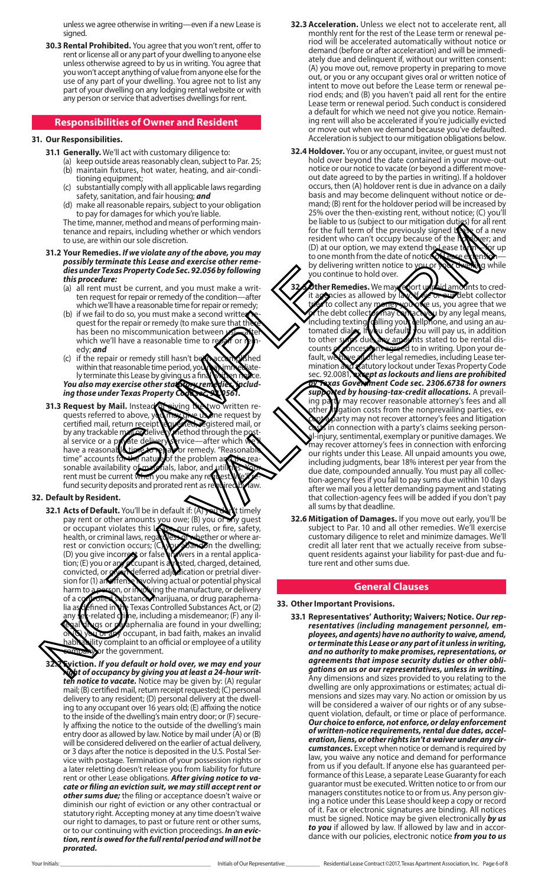unless we agree otherwise in writing—even if a new Lease is signed.

**30.3 Rental Prohibited.** You agree that you won't rent, offer to rent or license all or any part of your dwelling to anyone else unless otherwise agreed to by us in writing. You agree that you won't accept anything of value from anyone else for the use of any part of your dwelling. You agree not to list any part of your dwelling on any lodging rental website or with any person or service that advertises dwellings for rent.

## **Responsibilities of Owner and Resident**

#### **31. Our Responsibilities.**

- **31.1 Generally.** We'll act with customary diligence to:
	- (a) keep outside areas reasonably clean, subject to Par. 25; (b) maintain fixtures, hot water, heating, and air-conditioning equipment;
	- (c) substantially comply with all applicable laws regarding safety, sanitation, and fair housing; *and*
	- (d) make all reasonable repairs, subject to your obligation to pay for damages for which you're liable.

The time, manner, method and means of performing maintenance and repairs, including whether or which vendors to use, are within our sole discretion.

- **31.2 Your Remedies.** *If we violate any of the above, you may possibly terminate this Lease and exercise other reme dies under Texas Property Code Sec. 92.056 by following this procedure:*
	- (a) all rent must be current, and you must make a writ ten request for repair or remedy of the condition—after which we'll have a reasonable time for repair or remedy;
	- (b) if we fail to do so, you must make a second written quest for the repair or remedy (to make sure that has been no miscommunication between 49<br>which we'll have a reasonable time to repair of which we'll have a reasonable time to r edy; *and*
	- (c) if the repair or remedy still hasn't been accomplished within that reasonable time period, you may immediately terminate this Lease by giving us a final written notice. You also may exercise other statutory remedies, includ*ing those under Texas Property Cod*
- **31.3 Request by Mail. Instead of giving the two written re**quests referred to above, you may give us in request by certified mail, return receipt to  $\frac{1}{2}$  respectively certified mail, return receipt<br>by any trackable mail and live by any trackable mail or delivery method through the post-<br>al service or a private delivery struce—after which whave a reasonal delivery pay or remedy. "Reasonal" al service or a private delivery service—after which we'll have a reasonable time to repair or remedy. "Reasonable time" accounts for the nature of the problem and the reasonable availability of materials, labor, and utilities. Your rent must be current when you make any request. We'll refund security deposits and prorated rent as required by law. Example the contract of the contract of the contract of the control of the control of the contribution of the contribution of the contribution of the contribution of the contribution of the repair or remedy (to make a seco

## **32. Default by Resident.**

**32.1 Acts of Default.** You'll be in default if: (A) you don't timely pay rent or other amounts you owe; (B) you or any guest<br>or occupant violates this **Repeated** rules, or fire, safety, or occupant violates this Lease, our rules, or fire, safety, health, or criminal laws, regardless of whether or where arrest or conviction occurs; (CNO 2003) the dwelling; (D) you give incorrect or false answers in a rental application; (E) you or any occupant is arrested, charged, detained, tion; (E) you or a compare is a stated, charged, detained, convicted, or given deferred adjudication or pretrial diver-<br>sion for (1) anoffense wolving actual or potential physical sion for (1) an offense hypolving actual or potential physical<br>harm to recesson, or involving the manufacture, or delivery harm to a person, or involving the manufacture, or delivery of a coptrolled substance, marijuana, or drug paraphernalia a**f defined in the Texas Controlled Substances Act, or (2)**<br>any **lex-related dilne, including a misdemeanor; (F) any il**ne, including a misdemeanor; (F) any illgs or paraphernalia are found in your dwelling; or any occupant, in bad faith, makes an invalid lity complaint to an official or employee of a utility or the government.

**32.2 Eviction.** *If you default or hold over, we may end your right of occupancy by giving you at least a 24-hour written notice to vacate.* Notice may be given by: (A) regular mail; (B) certified mail, return receipt requested; (C) personal delivery to any resident; (D) personal delivery at the dwelling to any occupant over 16 years old; (E) affixing the notice to the inside of the dwelling's main entry door; or (F) securely affixing the notice to the outside of the dwelling's main entry door as allowed by law. Notice by mail under  $(A)$  or  $(B)$ will be considered delivered on the earlier of actual delivery, or 3 days after the notice is deposited in the U.S. Postal Service with postage. Termination of your possession rights or a later reletting doesn't release you from liability for future rent or other Lease obligations. *After giving notice to vacate or filing an eviction suit, we may still accept rent or other sums due;* the filing or acceptance doesn't waive or diminish our right of eviction or any other contractual or statutory right. Accepting money at any time doesn't waive our right to damages, to past or future rent or other sums, or to our continuing with eviction proceedings. *In an eviction, rent is owed for the full rental period and will not be prorated.*

- **32.3 Acceleration.** Unless we elect not to accelerate rent, all monthly rent for the rest of the Lease term or renewal period will be accelerated automatically without notice or demand (before or after acceleration) and will be immediately due and delinquent if, without our written consent: (A) you move out, remove property in preparing to move out, or you or any occupant gives oral or written notice of intent to move out before the Lease term or renewal period ends; and (B) you haven't paid all rent for the entire Lease term or renewal period. Such conduct is considered a default for which we need not give you notice. Remaining rent will also be accelerated if you're judicially evicted or move out when we demand because you've defaulted. Acceleration is subject to our mitigation obligations below.
- **32.4 Holdover.** You or any occupant, invitee, or guest must not hold over beyond the date contained in your move-out notice or our notice to vacate (or beyond a different moveout date agreed to by the parties in writing). If a holdover occurs, then (A) holdover rent is due in advance on a daily basis and may become delinquent without notice or demand; (B) rent for the holdover period will be increased by 25% over the then-existing rent, without notice; (C) you'll be liable to us (subject to our mitigation duties) for all rent<br>for the full term of the previously signed **least** of a new for the full term of the previously signed **Lease** of a new<br>resident who can't occupy because of the **New**er; and resident who can't occupy because of the h (D) at our option, we may extend the Lease term—for up to one month from the date of notice of Lease extension by delivering written notice to you or your dwelling while you continue to hold over.
- **32.5** *Other Remedies.* We may report the aid amounts to cred-<br>it accencies as allowed by law. We or expedient collector it agencies as allowed by law. When our debt collector tries to collect any proney you one us, you agree that we  $\alpha$  the debt collector may contact you by any legal means, including texting, calling your cellphone, and using an automated dialer. If you default, you will pay us, in addition<br>to other such due asy amounts stated to be rental disto other sums due, any amounts stated to be rental dis-<br>counts from costions agreed to in writing. Upon your decounts or concessions agreed to in writing. Upon your de-<br>fault, we have wrother legal remedies, including Lease terfault, we have all other legal remedies, including Lease ter-<br>mination and tratutory lockout under Texas Property Code **X**tatutory lockout under Texas Property Code sec. 92.0081, *except as lockouts and liens are prohibited by Texas Government Code sec. 2306.6738 for owners*  supported by housing-tax-credit allocations. A prevail-<br>ing party may recover reasonable attorney's fees and all  $\mathbf t$  may recover reasonable attorney's fees and all pther**/if**gation costs from the nonprevailing parties, exarty may not recover attorney's fees and litigation in connection with a party's claims seeking personal-injury, sentimental, exemplary or punitive damages. We may recover attorney's fees in connection with enforcing our rights under this Lease. All unpaid amounts you owe, including judgments, bear 18% interest per year from the due date, compounded annually. You must pay all collection-agency fees if you fail to pay sums due within 10 days after we mail you a letter demanding payment and stating that collection-agency fees will be added if you don't pay all sums by that deadline. The mean of the case of the first which is not the later when the state of the case of the state of the state of the state of the state of the state of the state of the state of the state of the state of the state of the
	- **32.6 Mitigation of Damages.** If you move out early, you'll be subject to Par. 10 and all other remedies. We'll exercise customary diligence to relet and minimize damages. We'll credit all later rent that we actually receive from subsequent residents against your liability for past-due and future rent and other sums due.

#### **General Clauses**

#### **33. Other Important Provisions.**

**33.1 Representatives' Authority; Waivers; Notice.** *Our representatives (including management personnel, employees, and agents) have no authority to waive, amend, or terminate this Lease or any part of it unless in writing, and no authority to make promises, representations, or agreements that impose security duties or other obligations on us or our representatives, unless in writing.* Any dimensions and sizes provided to you relating to the dwelling are only approximations or estimates; actual dimensions and sizes may vary. No action or omission by us will be considered a waiver of our rights or of any subsequent violation, default, or time or place of performance. *Our choice to enforce, not enforce, or delay enforcement of written-notice requirements, rental due dates, acceleration, liens, or other rights isn't a waiver under any circumstances.* Except when notice or demand is required by law, you waive any notice and demand for performance from us if you default. If anyone else has guaranteed performance of this Lease, a separate Lease Guaranty for each guarantor must be executed. Written notice to or from our managers constitutes notice to or from us. Any person giving a notice under this Lease should keep a copy or record of it. Fax or electronic signatures are binding. All notices must be signed. Notice may be given electronically *by us to you* if allowed by law. If allowed by law and in accordance with our policies, electronic notice *from you to us*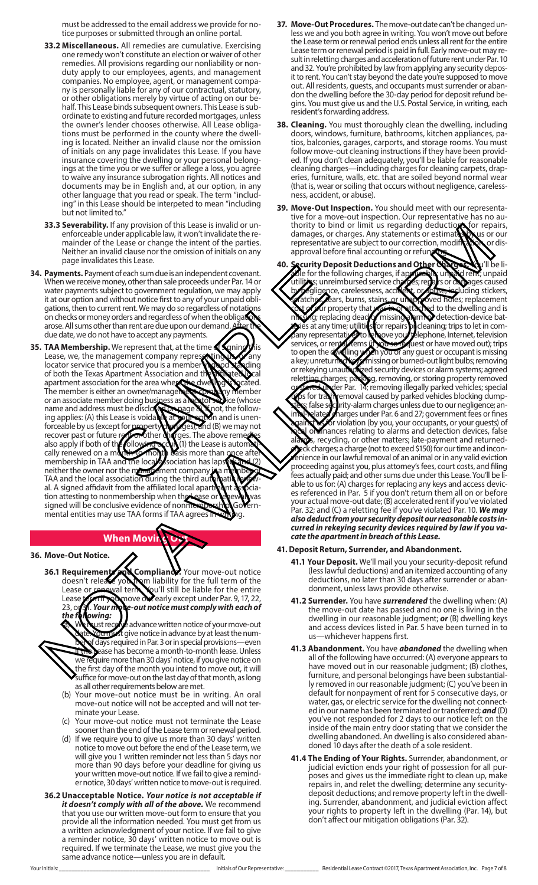must be addressed to the email address we provide for notice purposes or submitted through an online portal.

- **33.2 Miscellaneous.** All remedies are cumulative. Exercising one remedy won't constitute an election or waiver of other remedies. All provisions regarding our nonliability or nonduty apply to our employees, agents, and management companies. No employee, agent, or management company is personally liable for any of our contractual, statutory, or other obligations merely by virtue of acting on our behalf. This Lease binds subsequent owners. This Lease is subordinate to existing and future recorded mortgages, unless the owner's lender chooses otherwise. All Lease obligations must be performed in the county where the dwelling is located. Neither an invalid clause nor the omission of initials on any page invalidates this Lease. If you have insurance covering the dwelling or your personal belongings at the time you or we suffer or allege a loss, you agree to waive any insurance subrogation rights. All notices and documents may be in English and, at our option, in any other language that you read or speak. The term "including" in this Lease should be interpeted to mean "including but not limited to."
- **33.3 Severability.** If any provision of this Lease is invalid or unenforceable under applicable law, it won't invalidate the remainder of the Lease or change the intent of the parties. Neither an invalid clause nor the omission of initials on any page invalidates this Lease.
- **34. Payments.** Payment of each sum due is an independent covenant. When we receive money, other than sale proceeds under Par. 14 or water payments subject to government regulation, we may apply it at our option and without notice first to any of your unpaid obli gations, then to current rent. We may do so regardless of notations on checks or money orders and regardless of when the obligations arose. All sums other than rent are due upon our demand due date, we do not have to accept any payments.
- **35. TAA Membership.** We represent that, at the time  $\frac{1}{2}$  signing this Lease, we, the management company representing us, or any locator service that procured you is a member in good standing of both the Texas Apartment Association and the affiliated Deal<br>apartment association for the area where the dwelling is hecated. apartment association for the area where The member is either an owner/management-company member or an associate member doing business as a **locator service** (whose name and address must be disclosed mage 8). **K**not, the following applies: (A) this Lease is voidable at your option and is unen-<br>forceable by us (except for property of ges), and (B) we may not<br>recover past or future reprovations on aggres. The above rememore forceable by us (except for p recover past or future rept on other charges. The above remed also apply if both of the following  $\propto$ cur (1) the Lease is automatically renewed on a month-to-month basis more than once after membership in TAA and the local association has lapsed. neither the owner nor the **Management** company TAA and the local association during the third aut al. A signed affidavit from the affiliated local apartment association attesting to nonmembership when the Lease or the way signed will be conclusive evidence of nonmembership. Governmental entities may use TAA forms if TAA agrees in to feach sum due is an independent covenant.<br>
Sele for the form oney, other than sale proceeds under Par. 14 or<br>
writhout notice first to any of your unpaid objective to a covernment regulation, we may apply<br>
then rent . W

# **When Movir**

**36. Move-Out Notice.**

**36.1 Requirements and Compliance.** Your move-out notice doesn't release you have liability for the full term of the doesn't release you from liability for the full term of the Lease of the sum of the Qu'll still be liable for the entire Lease form if you move overlarly except under Par. 9, 17, 22, 23, or 31. *Your move-out notice must comply with each of the following:*

ust receive advance written notice of your move-out but must give notice in advance by at least the numdays required in Par. 3 or in special provisionshease has become a month-to-month lease. Unless we require more than 30 days' notice, if you give notice on the first day of the month you intend to move out, it will suffice for move-out on the last day of that month, as long as all other requirements below are met.

- (b) Your move-out notice must be in writing. An oral move-out notice will not be accepted and will not ter minate your Lease.
- (c) Your move-out notice must not terminate the Lease sooner than the end of the Lease term or renewal period.
- (d) If we require you to give us more than 30 days' written notice to move out before the end of the Lease term, we will give you 1 written reminder not less than 5 days nor more than 90 days before your deadline for giving us your written move-out notice. If we fail to give a reminder notice, 30 days' written notice to move-out is required.
- **36.2Unacceptable Notice.** *Your notice is not acceptable if it doesn't comply with all of the above.* We recommend that you use our written move-out form to ensure that you provide all the information needed. You must get from us a written acknowledgment of your notice. If we fail to give a reminder notice, 30 days' written notice to move out is required. If we terminate the Lease, we must give you the same advance notice—unless you are in default.
- **37. Move-Out Procedures.** The move-out date can't be changed unless we and you both agree in writing. You won't move out before the Lease term or renewal period ends unless all rent for the entire Lease term or renewal period is paid in full. Early move-out may result in reletting charges and acceleration of future rent under Par. 10 and 32. You're prohibited by law from applying any security deposit to rent. You can't stay beyond the date you're supposed to move out. All residents, guests, and occupants must surrender or abandon the dwelling before the 30-day period for deposit refund begins. You must give us and the U.S. Postal Service, in writing, each resident's forwarding address.
- **38. Cleaning.** You must thoroughly clean the dwelling, including doors, windows, furniture, bathrooms, kitchen appliances, patios, balconies, garages, carports, and storage rooms. You must follow move-out cleaning instructions if they have been provided. If you don't clean adequately, you'll be liable for reasonable cleaning charges—including charges for cleaning carpets, draperies, furniture, walls, etc. that are soiled beyond normal wear (that is, wear or soiling that occurs without negligence, carelessness, accident, or abuse).
- **39. Move-Out Inspection.** You should meet with our representative for a move-out inspection. Our representative has no authority to bind or limit us regarding deductions for repairs, damages, or charges. Any statements or estimates by us or our representative are subject to our correction, modification, or disapproval before final accounting or refund
- **40. Proposit Deductions and Other Charges. You'll be li-**<br>Sle for the following charges, if applies by: unpaid rent, unpaid ble for the following charges, if applicable: un utilities; unreimbursed service charges; repairs or damages caused by pegligence, carelessness, accident, or abuse, including stickers, scratches, tears, burns, stains, or unapproved holes; replacement gence, carciassiness, accumulation oved holes; replacement<br>for property that was in or attached to the dwelling and is g; replacing dead or missing alarm or detection-device battes at any time; utilities for repairs by cleaning; trips to let in com-<br>v representatives to rehove you telephone, Internet, television pany representatives to remove your telephone, Internet, television<br>services, or representems (in our sequest or have moved out); trips services, or reptal items (if you se request or have moved out); trips to open the dwelling when you or any guest or occupant is missing a key; unreturned keys; missing or burned-out light bulbs; removing<br>or rekeying unaution red security devices or alarm systems; agreed or rekeying unauthorized security devices or alarm systems; agreed<br>reletting charges: park na. removing, or storing property removed Tharges; packing, removing, or storing property removed **Cored under Par. 14; removing illegally parked vehicles; special store in the store is a special of the store i**<br>In for travily emoval caused by parked vehicles blocking dumpto for trash removal caused by parked vehicles blocking dumpsters; false security-alarm charges unless due to our negligence; anlated marges under Par. 6 and 27; government fees or fines  $\delta$ r violation (by you, your occupants, or your guests) of ordinances relating to alarms and detection devices, false  $\alpha$ s, recycling, or other matters; late-payment and returned- $\mathbf{R}$ ck charges; a charge (not to exceed \$150) for our time and inconenience in our lawful removal of an animal or in any valid eviction proceeding against you, plus attorney's fees, court costs, and filing fees actually paid; and other sums due under this Lease. You'll be liable to us for: (A) charges for replacing any keys and access devices referenced in Par. 5 if you don't return them all on or before your actual move-out date; (B) accelerated rent if you've violated Par. 32; and (C) a reletting fee if you've violated Par. 10. We may *also deduct from your security deposit our reasonable costs incurred in rekeying security devices required by law if you vacate the apartment in breach of this Lease.* 33.3 see biling the proposition of this local wave the main of the latter the main of the state is equilibrium to the the main of the main of the main of the main of the main of the main of the main of the main of the mai

#### **41. Deposit Return, Surrender, and Abandonment.**

- **41.1 Your Deposit.** We'll mail you your security-deposit refund (less lawful deductions) and an itemized accounting of any deductions, no later than 30 days after surrender or abandonment, unless laws provide otherwise.
- **41.2 Surrender.** You have *surrendered* the dwelling when: (A) the move-out date has passed and no one is living in the dwelling in our reasonable judgment; *or* (B) dwelling keys and access devices listed in Par. 5 have been turned in to whichever happens first.
- **41.3 Abandonment.** You have *abandoned* the dwelling when all of the following have occurred: (A) everyone appears to have moved out in our reasonable judgment; (B) clothes, furniture, and personal belongings have been substantially removed in our reasonable judgment; (C) you've been in default for nonpayment of rent for 5 consecutive days, or water, gas, or electric service for the dwelling not connect ed in our name has been terminated or transferred; *and* (D) you've not responded for 2 days to our notice left on the inside of the main entry door stating that we consider the dwelling abandoned. An dwelling is also considered aban doned 10 days after the death of a sole resident.
- **41.4 The Ending of Your Rights.** Surrender, abandonment, or judicial eviction ends your right of possession for all pur poses and gives us the immediate right to clean up, make repairs in, and relet the dwelling; determine any securitydeposit deductions; and remove property left in the dwell ing. Surrender, abandonment, and judicial eviction affect your rights to property left in the dwelling (Par. 14), but don't affect our mitigation obligations (Par. 32).